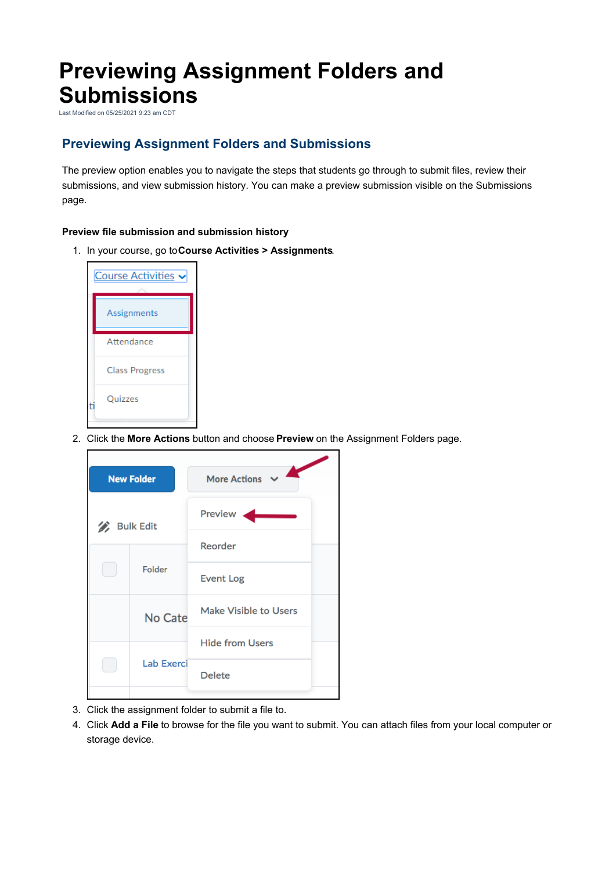## **Previewing Assignment Folders and Submissions**

Last Modified on 05/25/2021 9:23 am CDT

## **Previewing Assignment Folders and Submissions**

The preview option enables you to navigate the steps that students go through to submit files, review their submissions, and view submission history. You can make a preview submission visible on the Submissions page.

## **Preview file submission and submission history**

1. In your course, go to**Course Activities > Assignments**.



2. Click the **More Actions** button and choose **Preview** on the Assignment Folders page.

| <b>New Folder</b>      |            | <b>More Actions</b>    |
|------------------------|------------|------------------------|
| <b>Bulk Edit</b><br>D, |            | Preview                |
|                        |            | Reorder                |
|                        | Folder     | <b>Event Log</b>       |
|                        | No Cate    | Make Visible to Users  |
|                        | Lab Exerci | <b>Hide from Users</b> |
|                        |            | <b>Delete</b>          |
|                        |            |                        |

- 3. Click the assignment folder to submit a file to.
- 4. Click **Add a File** to browse for the file you want to submit. You can attach files from your local computer or storage device.